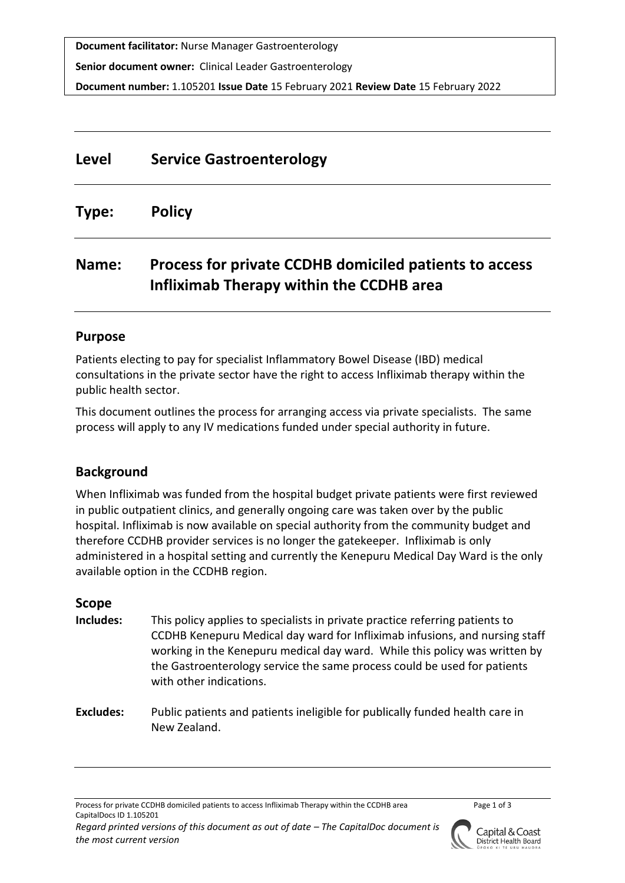**Document facilitator:** Nurse Manager Gastroenterology

**Senior document owner:** Clinical Leader Gastroenterology

**Document number:** 1.105201 **Issue Date** 15 February 2021 **Review Date** 15 February 2022

# **Level Service Gastroenterology**

**Type: Policy**

# **Name: Process for private CCDHB domiciled patients to access Infliximab Therapy within the CCDHB area**

### **Purpose**

Patients electing to pay for specialist Inflammatory Bowel Disease (IBD) medical consultations in the private sector have the right to access Infliximab therapy within the public health sector.

This document outlines the process for arranging access via private specialists. The same process will apply to any IV medications funded under special authority in future.

### **Background**

When Infliximab was funded from the hospital budget private patients were first reviewed in public outpatient clinics, and generally ongoing care was taken over by the public hospital. Infliximab is now available on special authority from the community budget and therefore CCDHB provider services is no longer the gatekeeper. Infliximab is only administered in a hospital setting and currently the Kenepuru Medical Day Ward is the only available option in the CCDHB region.

### **Scope**

- **Includes:** This policy applies to specialists in private practice referring patients to CCDHB Kenepuru Medical day ward for Infliximab infusions, and nursing staff working in the Kenepuru medical day ward. While this policy was written by the Gastroenterology service the same process could be used for patients with other indications.
- **Excludes:** Public patients and patients ineligible for publically funded health care in New Zealand.



*Regard printed versions of this document as out of date – The CapitalDoc document is the most current version*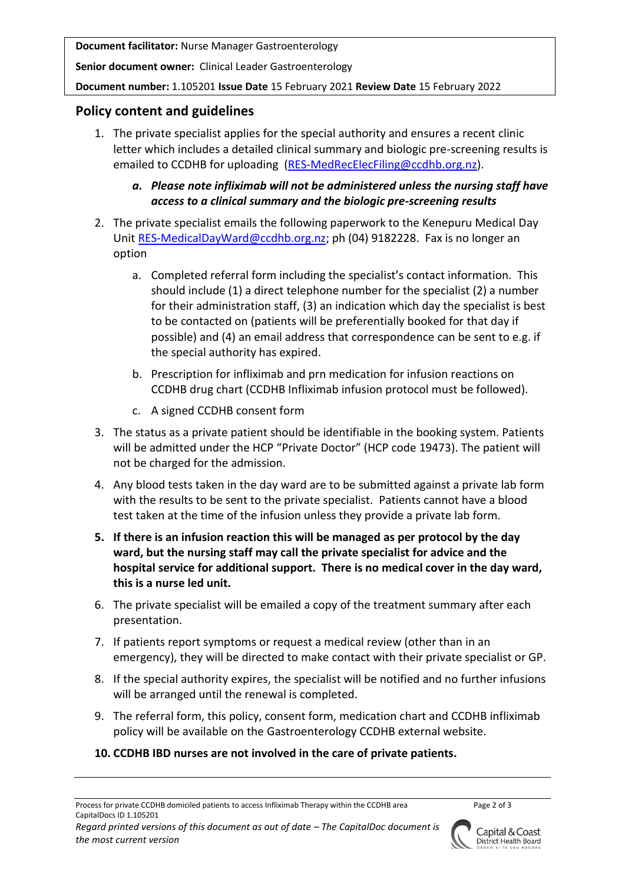**Document facilitator:** Nurse Manager Gastroenterology

**Senior document owner:** Clinical Leader Gastroenterology

**Document number:** 1.105201 **Issue Date** 15 February 2021 **Review Date** 15 February 2022

## **Policy content and guidelines**

1. The private specialist applies for the special authority and ensures a recent clinic letter which includes a detailed clinical summary and biologic pre-screening results is emailed to CCDHB for uploading [\(RES-MedRecElecFiling@ccdhb.org.nz\)](mailto:RES-MedRecElecFiling@ccdhb.org.nz).

### *a. Please note infliximab will not be administered unless the nursing staff have access to a clinical summary and the biologic pre-screening results*

- 2. The private specialist emails the following paperwork to the Kenepuru Medical Day Unit [RES-MedicalDayWard@ccdhb.org.nz;](mailto:RES-MedicalDayWard@ccdhb.org.nz) ph (04) 9182228. Fax is no longer an option
	- a. Completed referral form including the specialist's contact information. This should include (1) a direct telephone number for the specialist (2) a number for their administration staff, (3) an indication which day the specialist is best to be contacted on (patients will be preferentially booked for that day if possible) and (4) an email address that correspondence can be sent to e.g. if the special authority has expired.
	- b. Prescription for infliximab and prn medication for infusion reactions on CCDHB drug chart (CCDHB Infliximab infusion protocol must be followed).
	- c. A signed CCDHB consent form
- 3. The status as a private patient should be identifiable in the booking system. Patients will be admitted under the HCP "Private Doctor" (HCP code 19473). The patient will not be charged for the admission.
- 4. Any blood tests taken in the day ward are to be submitted against a private lab form with the results to be sent to the private specialist. Patients cannot have a blood test taken at the time of the infusion unless they provide a private lab form.
- **5. If there is an infusion reaction this will be managed as per protocol by the day ward, but the nursing staff may call the private specialist for advice and the hospital service for additional support. There is no medical cover in the day ward, this is a nurse led unit.**
- 6. The private specialist will be emailed a copy of the treatment summary after each presentation.
- 7. If patients report symptoms or request a medical review (other than in an emergency), they will be directed to make contact with their private specialist or GP.
- 8. If the special authority expires, the specialist will be notified and no further infusions will be arranged until the renewal is completed.
- 9. The referral form, this policy, consent form, medication chart and CCDHB infliximab policy will be available on the Gastroenterology CCDHB external website.

### **10. CCDHB IBD nurses are not involved in the care of private patients.**